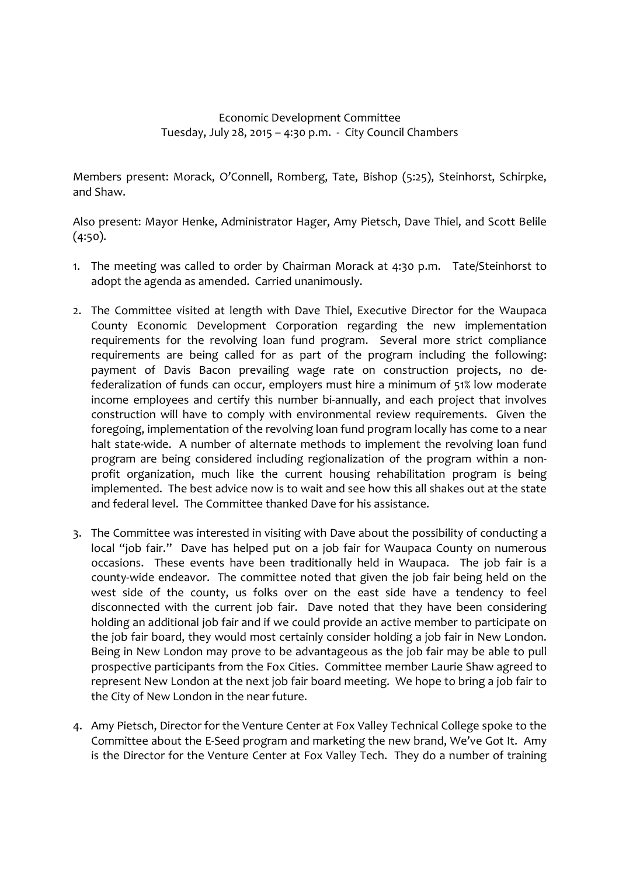## Economic Development Committee Tuesday, July 28, 2015 – 4:30 p.m. - City Council Chambers

Members present: Morack, O'Connell, Romberg, Tate, Bishop (5:25), Steinhorst, Schirpke, and Shaw.

Also present: Mayor Henke, Administrator Hager, Amy Pietsch, Dave Thiel, and Scott Belile (4:50).

- 1. The meeting was called to order by Chairman Morack at 4:30 p.m. Tate/Steinhorst to adopt the agenda as amended. Carried unanimously.
- 2. The Committee visited at length with Dave Thiel, Executive Director for the Waupaca County Economic Development Corporation regarding the new implementation requirements for the revolving loan fund program. Several more strict compliance requirements are being called for as part of the program including the following: payment of Davis Bacon prevailing wage rate on construction projects, no defederalization of funds can occur, employers must hire a minimum of 51% low moderate income employees and certify this number bi-annually, and each project that involves construction will have to comply with environmental review requirements. Given the foregoing, implementation of the revolving loan fund program locally has come to a near halt state-wide. A number of alternate methods to implement the revolving loan fund program are being considered including regionalization of the program within a nonprofit organization, much like the current housing rehabilitation program is being implemented. The best advice now is to wait and see how this all shakes out at the state and federal level. The Committee thanked Dave for his assistance.
- 3. The Committee was interested in visiting with Dave about the possibility of conducting a local "job fair." Dave has helped put on a job fair for Waupaca County on numerous occasions. These events have been traditionally held in Waupaca. The job fair is a county-wide endeavor. The committee noted that given the job fair being held on the west side of the county, us folks over on the east side have a tendency to feel disconnected with the current job fair. Dave noted that they have been considering holding an additional job fair and if we could provide an active member to participate on the job fair board, they would most certainly consider holding a job fair in New London. Being in New London may prove to be advantageous as the job fair may be able to pull prospective participants from the Fox Cities. Committee member Laurie Shaw agreed to represent New London at the next job fair board meeting. We hope to bring a job fair to the City of New London in the near future.
- 4. Amy Pietsch, Director for the Venture Center at Fox Valley Technical College spoke to the Committee about the E-Seed program and marketing the new brand, We've Got It. Amy is the Director for the Venture Center at Fox Valley Tech. They do a number of training